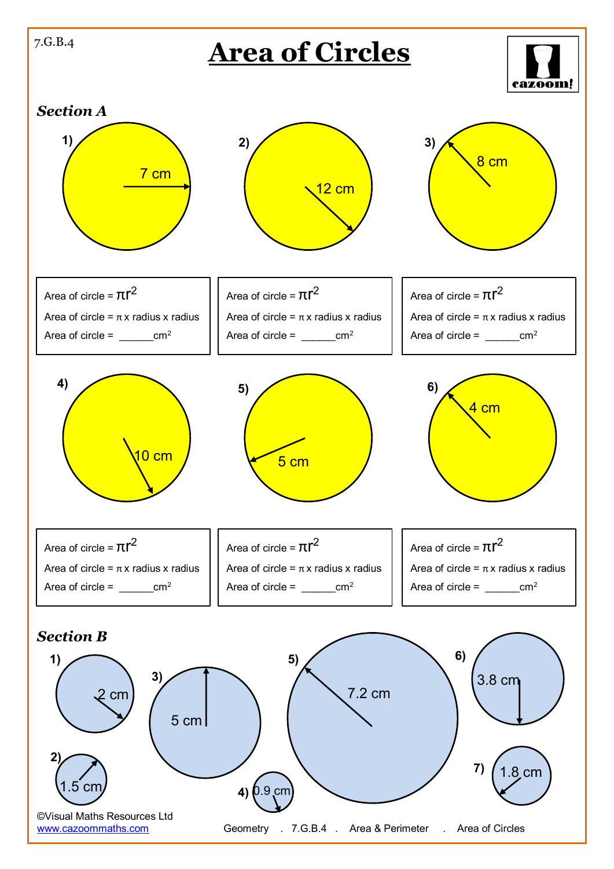